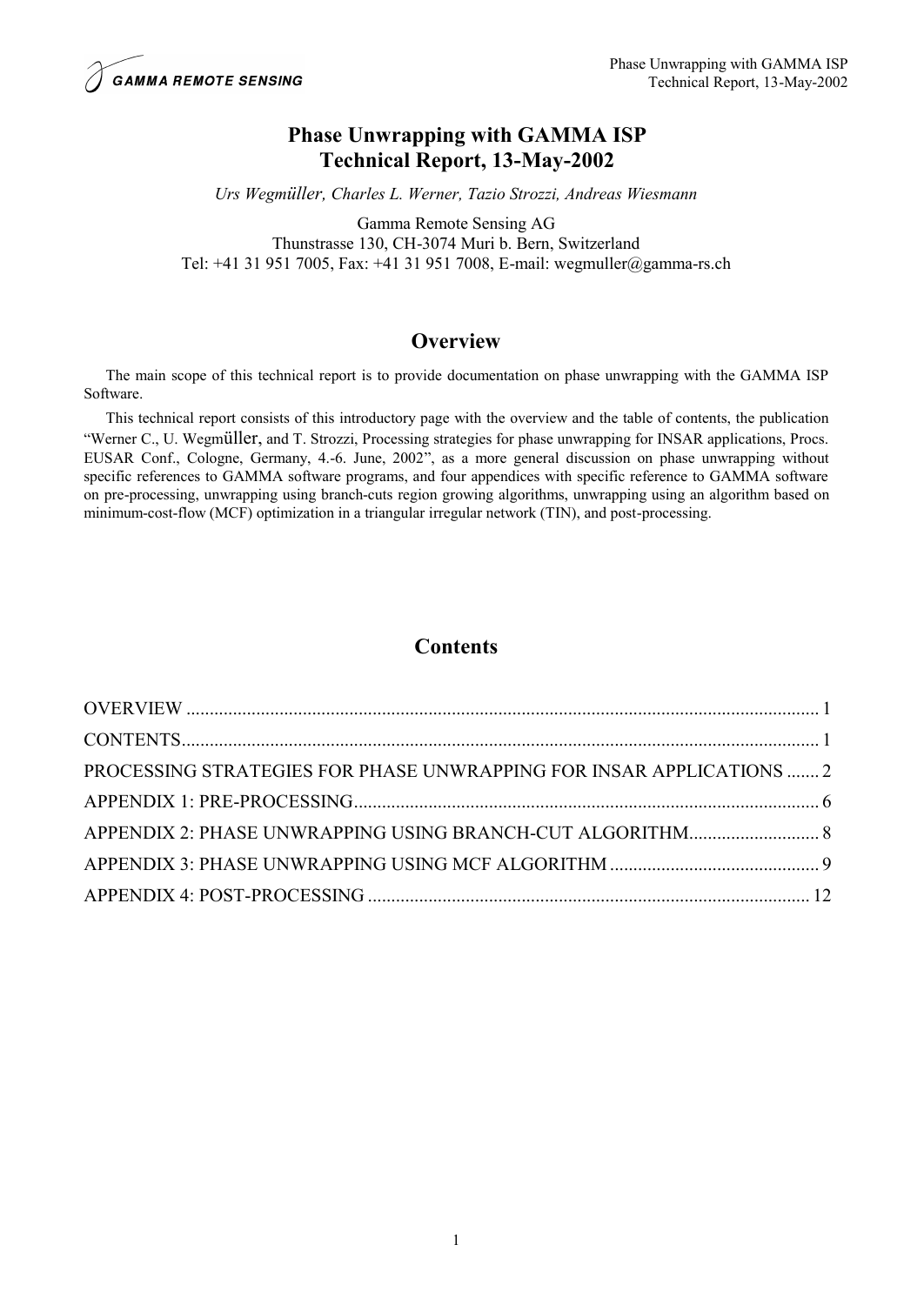# **Phase Unwrapping with GAMMA ISP Technical Report, 13-May-2002**

*Urs Wegmüller, Charles L. Werner, Tazio Strozzi, Andreas Wiesmann*

Gamma Remote Sensing AG

Thunstrasse 130, CH-3074 Muri b. Bern, Switzerland Tel: +41 31 951 7005, Fax: +41 31 951 7008, E-mail: wegmuller@gamma-rs.ch

# **Overview**

The main scope of this technical report is to provide documentation on phase unwrapping with the GAMMA ISP Software.

This technical report consists of this introductory page with the overview and the table of contents, the publication "Werner C., U. Wegmüller, and T. Strozzi, Processing strategies for phase unwrapping for INSAR applications, Procs. EUSAR Conf., Cologne, Germany, 4.-6. June, 2002", as a more general discussion on phase unwrapping without specific references to GAMMA software programs, and four appendices with specific reference to GAMMA software on pre-processing, unwrapping using branch-cuts region growing algorithms, unwrapping using an algorithm based on minimum-cost-flow (MCF) optimization in a triangular irregular network (TIN), and post-processing.

# **Contents**

| PROCESSING STRATEGIES FOR PHASE UNWRAPPING FOR INSAR APPLICATIONS  2 |  |
|----------------------------------------------------------------------|--|
|                                                                      |  |
|                                                                      |  |
|                                                                      |  |
|                                                                      |  |
|                                                                      |  |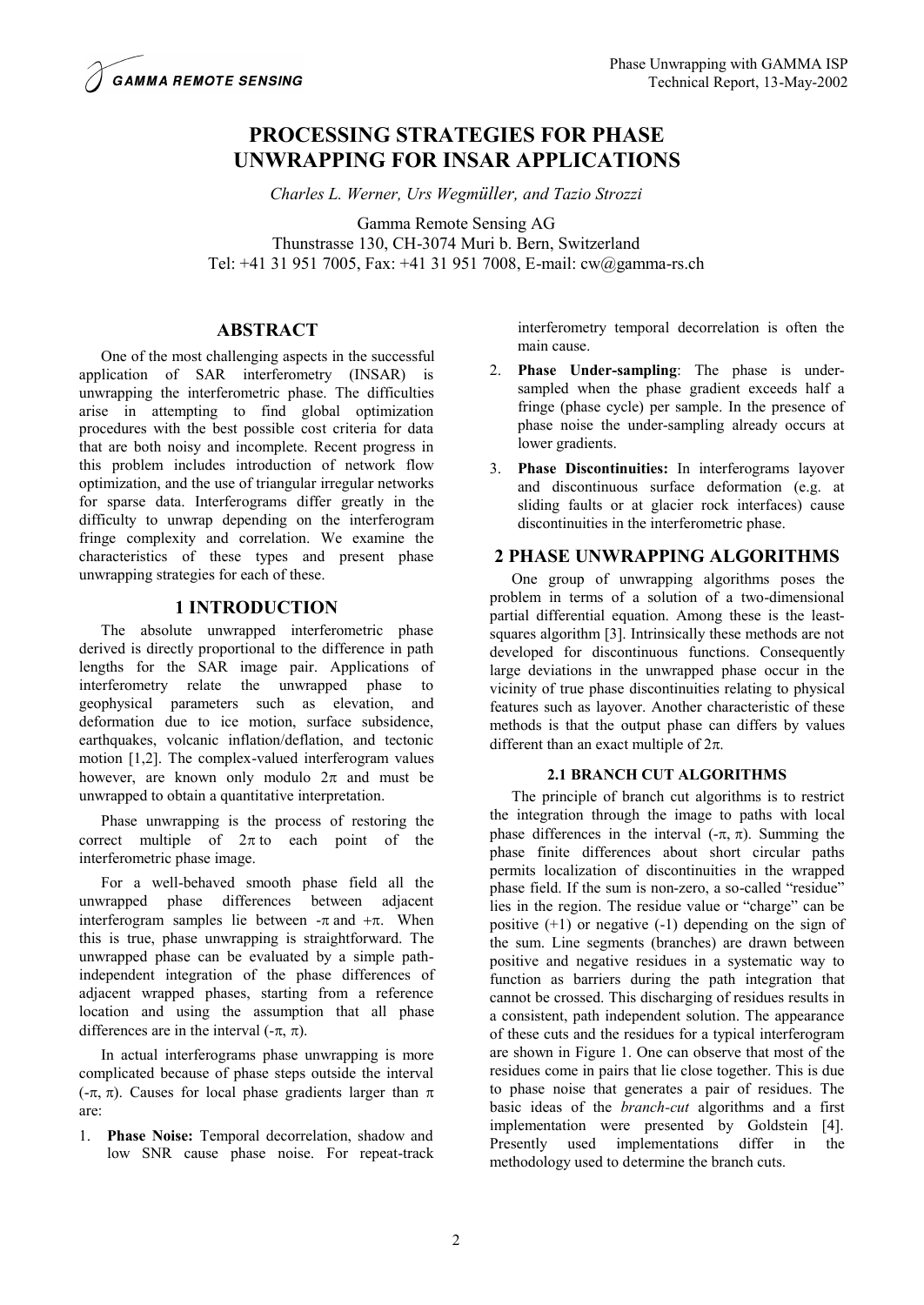# **PROCESSING STRATEGIES FOR PHASE UNWRAPPING FOR INSAR APPLICATIONS**

*Charles L. Werner, Urs Wegmüller, and Tazio Strozzi*

Gamma Remote Sensing AG

Thunstrasse 130, CH-3074 Muri b. Bern, Switzerland Tel: +41 31 951 7005, Fax: +41 31 951 7008, E-mail: cw@gamma-rs.ch

## **ABSTRACT**

One of the most challenging aspects in the successful application of SAR interferometry (INSAR) is unwrapping the interferometric phase. The difficulties arise in attempting to find global optimization procedures with the best possible cost criteria for data that are both noisy and incomplete. Recent progress in this problem includes introduction of network flow optimization, and the use of triangular irregular networks for sparse data. Interferograms differ greatly in the difficulty to unwrap depending on the interferogram fringe complexity and correlation. We examine the characteristics of these types and present phase unwrapping strategies for each of these.

## **1 INTRODUCTION**

The absolute unwrapped interferometric phase derived is directly proportional to the difference in path lengths for the SAR image pair. Applications of interferometry relate the unwrapped phase to geophysical parameters such as elevation, and deformation due to ice motion, surface subsidence, earthquakes, volcanic inflation/deflation, and tectonic motion [1,2]. The complex-valued interferogram values however, are known only modulo  $2\pi$  and must be unwrapped to obtain a quantitative interpretation.

Phase unwrapping is the process of restoring the correct multiple of  $2\pi$  to each point of the interferometric phase image.

For a well-behaved smooth phase field all the unwrapped phase differences between adjacent interferogram samples lie between  $-\pi$  and  $+\pi$ . When this is true, phase unwrapping is straightforward. The unwrapped phase can be evaluated by a simple pathindependent integration of the phase differences of adjacent wrapped phases, starting from a reference location and using the assumption that all phase differences are in the interval  $(-\pi, \pi)$ .

In actual interferograms phase unwrapping is more complicated because of phase steps outside the interval ( $-\pi$ ,  $\pi$ ). Causes for local phase gradients larger than  $\pi$ are:

1. **Phase Noise:** Temporal decorrelation, shadow and low SNR cause phase noise. For repeat-track interferometry temporal decorrelation is often the main cause.

- 2. **Phase Under-sampling**: The phase is undersampled when the phase gradient exceeds half a fringe (phase cycle) per sample. In the presence of phase noise the under-sampling already occurs at lower gradients.
- 3. **Phase Discontinuities:** In interferograms layover and discontinuous surface deformation (e.g. at sliding faults or at glacier rock interfaces) cause discontinuities in the interferometric phase.

## **2 PHASE UNWRAPPING ALGORITHMS**

One group of unwrapping algorithms poses the problem in terms of a solution of a two-dimensional partial differential equation. Among these is the leastsquares algorithm [3]. Intrinsically these methods are not developed for discontinuous functions. Consequently large deviations in the unwrapped phase occur in the vicinity of true phase discontinuities relating to physical features such as layover. Another characteristic of these methods is that the output phase can differs by values different than an exact multiple of  $2\pi$ .

## **2.1 BRANCH CUT ALGORITHMS**

The principle of branch cut algorithms is to restrict the integration through the image to paths with local phase differences in the interval  $(-\pi, \pi)$ . Summing the phase finite differences about short circular paths permits localization of discontinuities in the wrapped phase field. If the sum is non-zero, a so-called "residue" lies in the region. The residue value or "charge" can be positive  $(+1)$  or negative  $(-1)$  depending on the sign of the sum. Line segments (branches) are drawn between positive and negative residues in a systematic way to function as barriers during the path integration that cannot be crossed. This discharging of residues results in a consistent, path independent solution. The appearance of these cuts and the residues for a typical interferogram are shown in Figure 1. One can observe that most of the residues come in pairs that lie close together. This is due to phase noise that generates a pair of residues. The basic ideas of the *branch-cut* algorithms and a first implementation were presented by Goldstein [4]. Presently used implementations differ in the methodology used to determine the branch cuts.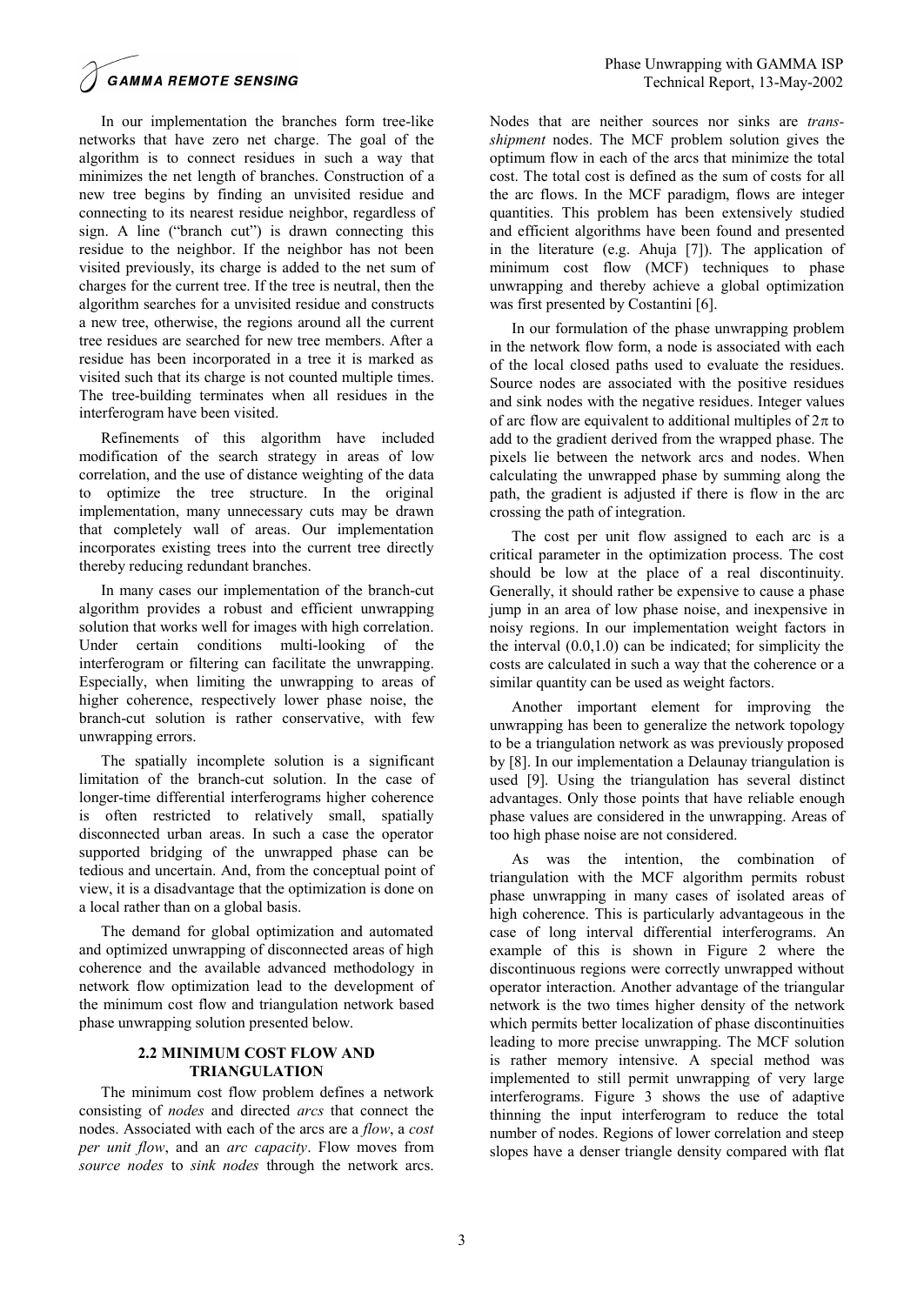**GAMMA REMOTE SENSING** 

In our implementation the branches form tree-like networks that have zero net charge. The goal of the algorithm is to connect residues in such a way that minimizes the net length of branches. Construction of a new tree begins by finding an unvisited residue and connecting to its nearest residue neighbor, regardless of sign. A line ("branch cut") is drawn connecting this residue to the neighbor. If the neighbor has not been visited previously, its charge is added to the net sum of charges for the current tree. If the tree is neutral, then the algorithm searches for a unvisited residue and constructs a new tree, otherwise, the regions around all the current tree residues are searched for new tree members. After a residue has been incorporated in a tree it is marked as visited such that its charge is not counted multiple times. The tree-building terminates when all residues in the interferogram have been visited.

Refinements of this algorithm have included modification of the search strategy in areas of low correlation, and the use of distance weighting of the data to optimize the tree structure. In the original implementation, many unnecessary cuts may be drawn that completely wall of areas. Our implementation incorporates existing trees into the current tree directly thereby reducing redundant branches.

In many cases our implementation of the branch-cut algorithm provides a robust and efficient unwrapping solution that works well for images with high correlation. Under certain conditions multi-looking of the interferogram or filtering can facilitate the unwrapping. Especially, when limiting the unwrapping to areas of higher coherence, respectively lower phase noise, the branch-cut solution is rather conservative, with few unwrapping errors.

The spatially incomplete solution is a significant limitation of the branch-cut solution. In the case of longer-time differential interferograms higher coherence is often restricted to relatively small, spatially disconnected urban areas. In such a case the operator supported bridging of the unwrapped phase can be tedious and uncertain. And, from the conceptual point of view, it is a disadvantage that the optimization is done on a local rather than on a global basis.

The demand for global optimization and automated and optimized unwrapping of disconnected areas of high coherence and the available advanced methodology in network flow optimization lead to the development of the minimum cost flow and triangulation network based phase unwrapping solution presented below.

#### **2.2 MINIMUM COST FLOW AND TRIANGULATION**

The minimum cost flow problem defines a network consisting of *nodes* and directed *arcs* that connect the nodes. Associated with each of the arcs are a *flow*, a *cost per unit flow*, and an *arc capacity*. Flow moves from *source nodes* to *sink nodes* through the network arcs.

Nodes that are neither sources nor sinks are *transshipment* nodes. The MCF problem solution gives the optimum flow in each of the arcs that minimize the total cost. The total cost is defined as the sum of costs for all the arc flows. In the MCF paradigm, flows are integer quantities. This problem has been extensively studied and efficient algorithms have been found and presented in the literature (e.g. Ahuja [7]). The application of minimum cost flow (MCF) techniques to phase unwrapping and thereby achieve a global optimization was first presented by Costantini [6].

In our formulation of the phase unwrapping problem in the network flow form, a node is associated with each of the local closed paths used to evaluate the residues. Source nodes are associated with the positive residues and sink nodes with the negative residues. Integer values of arc flow are equivalent to additional multiples of  $2\pi$  to add to the gradient derived from the wrapped phase. The pixels lie between the network arcs and nodes. When calculating the unwrapped phase by summing along the path, the gradient is adjusted if there is flow in the arc crossing the path of integration.

The cost per unit flow assigned to each arc is a critical parameter in the optimization process. The cost should be low at the place of a real discontinuity. Generally, it should rather be expensive to cause a phase jump in an area of low phase noise, and inexpensive in noisy regions. In our implementation weight factors in the interval  $(0.0, 1.0)$  can be indicated; for simplicity the costs are calculated in such a way that the coherence or a similar quantity can be used as weight factors.

Another important element for improving the unwrapping has been to generalize the network topology to be a triangulation network as was previously proposed by [8]. In our implementation a Delaunay triangulation is used [9]. Using the triangulation has several distinct advantages. Only those points that have reliable enough phase values are considered in the unwrapping. Areas of too high phase noise are not considered.

As was the intention, the combination of triangulation with the MCF algorithm permits robust phase unwrapping in many cases of isolated areas of high coherence. This is particularly advantageous in the case of long interval differential interferograms. An example of this is shown in Figure 2 where the discontinuous regions were correctly unwrapped without operator interaction. Another advantage of the triangular network is the two times higher density of the network which permits better localization of phase discontinuities leading to more precise unwrapping. The MCF solution is rather memory intensive. A special method was implemented to still permit unwrapping of very large interferograms. Figure 3 shows the use of adaptive thinning the input interferogram to reduce the total number of nodes. Regions of lower correlation and steep slopes have a denser triangle density compared with flat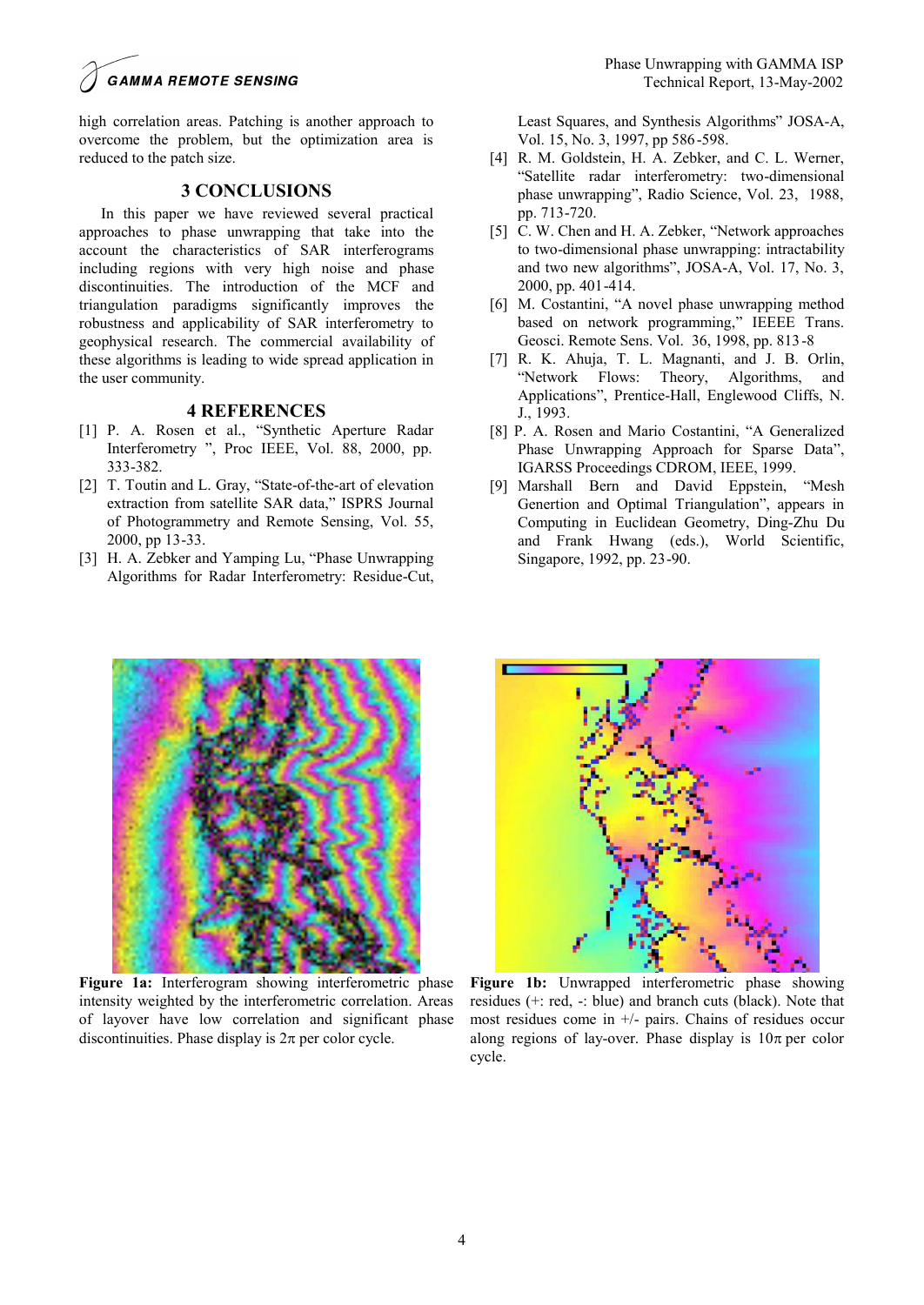## **GAMMA REMOTE SENSING**

high correlation areas. Patching is another approach to overcome the problem, but the optimization area is reduced to the patch size.

### **3 CONCLUSIONS**

In this paper we have reviewed several practical approaches to phase unwrapping that take into the account the characteristics of SAR interferograms including regions with very high noise and phase discontinuities. The introduction of the MCF and triangulation paradigms significantly improves the robustness and applicability of SAR interferometry to geophysical research. The commercial availability of these algorithms is leading to wide spread application in the user community.

### **4 REFERENCES**

- [1] P. A. Rosen et al., "Synthetic Aperture Radar Interferometry ", Proc IEEE, Vol. 88, 2000, pp. 333-382.
- [2] T. Toutin and L. Gray, "State-of-the-art of elevation extraction from satellite SAR data," ISPRS Journal of Photogrammetry and Remote Sensing, Vol. 55, 2000, pp 13-33.
- [3] H. A. Zebker and Yamping Lu, "Phase Unwrapping Algorithms for Radar Interferometry: Residue-Cut,

Least Squares, and Synthesis Algorithms" JOSA-A, Vol. 15, No. 3, 1997, pp 586-598.

- [4] R. M. Goldstein, H. A. Zebker, and C. L. Werner, "Satellite radar interferometry: two-dimensional phase unwrapping", Radio Science, Vol. 23, 1988, pp. 713-720.
- [5] C. W. Chen and H. A. Zebker, "Network approaches to two-dimensional phase unwrapping: intractability and two new algorithms", JOSA-A, Vol. 17, No. 3, 2000, pp. 401-414.
- [6] M. Costantini, "A novel phase unwrapping method based on network programming," IEEEE Trans. Geosci. Remote Sens. Vol. 36, 1998, pp. 813-8
- [7] R. K. Ahuja, T. L. Magnanti, and J. B. Orlin, "Network Flows: Theory, Algorithms, and Applications", Prentice-Hall, Englewood Cliffs, N. J., 1993.
- [8] P. A. Rosen and Mario Costantini, "A Generalized Phase Unwrapping Approach for Sparse Data", IGARSS Proceedings CDROM, IEEE, 1999.
- [9] Marshall Bern and David Eppstein, "Mesh Genertion and Optimal Triangulation", appears in Computing in Euclidean Geometry, Ding-Zhu Du and Frank Hwang (eds.), World Scientific, Singapore, 1992, pp. 23-90.



**Figure 1a:** Interferogram showing interferometric phase intensity weighted by the interferometric correlation. Areas of layover have low correlation and significant phase discontinuities. Phase display is  $2\pi$  per color cycle.



**Figure 1b:** Unwrapped interferometric phase showing residues (+: red, -: blue) and branch cuts (black). Note that most residues come in +/- pairs. Chains of residues occur along regions of lay-over. Phase display is  $10\pi$  per color cycle.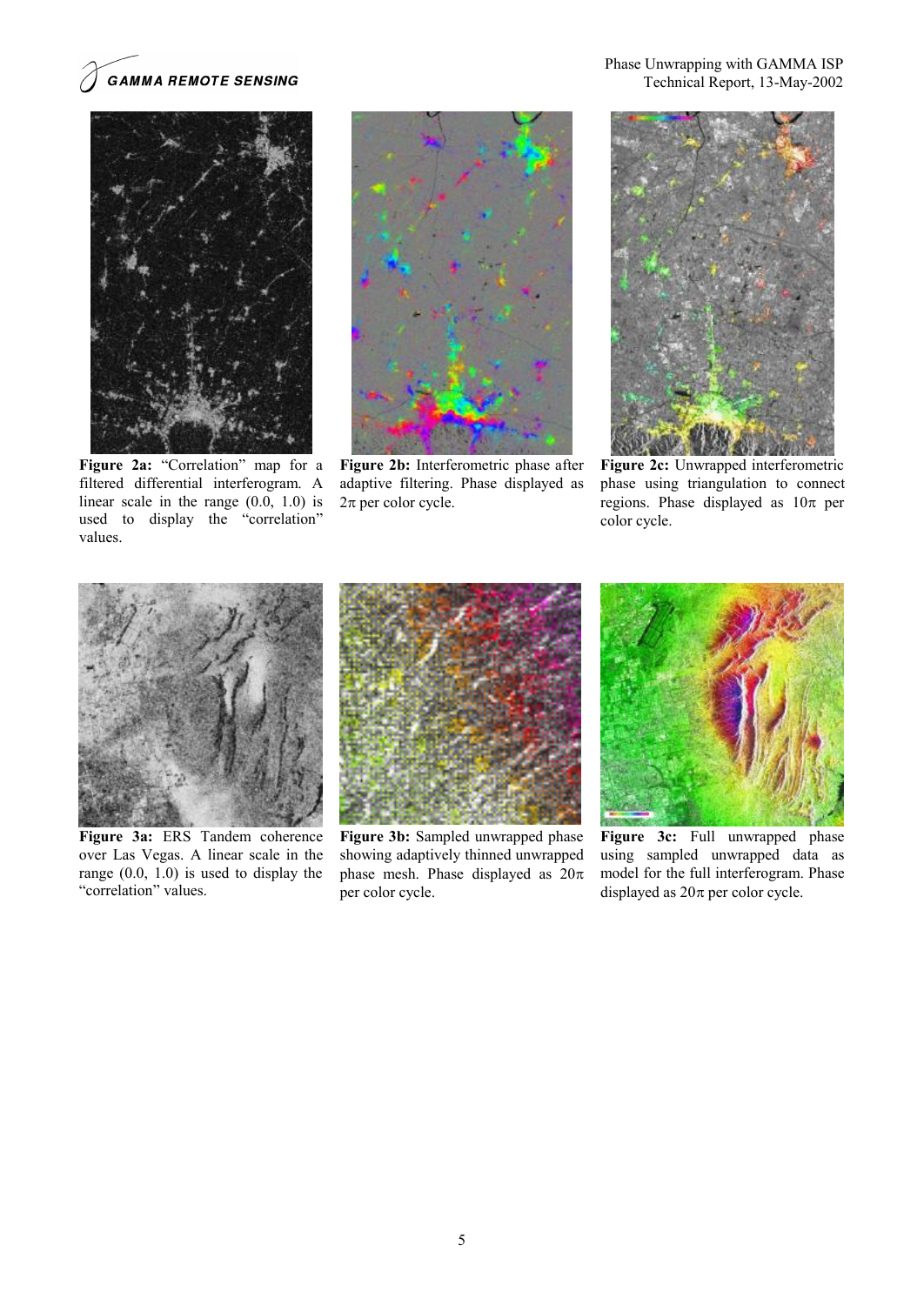

**Figure 2a:** "Correlation" map for a filtered differential interferogram. A linear scale in the range (0.0, 1.0) is used to display the "correlation" values.



**Figure 2b:** Interferometric phase after adaptive filtering. Phase displayed as  $2\pi$  per color cycle.

Phase Unwrapping with GAMMA ISP Technical Report, 13-May-2002



**Figure 2c:** Unwrapped interferometric phase using triangulation to connect regions. Phase displayed as  $10\pi$  per color cycle.



**Figure 3a:** ERS Tandem coherence over Las Vegas. A linear scale in the range (0.0, 1.0) is used to display the "correlation" values.



**Figure 3b:** Sampled unwrapped phase showing adaptively thinned unwrapped phase mesh. Phase displayed as  $20\pi$ per color cycle.



**Figure 3c:** Full unwrapped phase using sampled unwrapped data as model for the full interferogram. Phase displayed as  $20\pi$  per color cycle.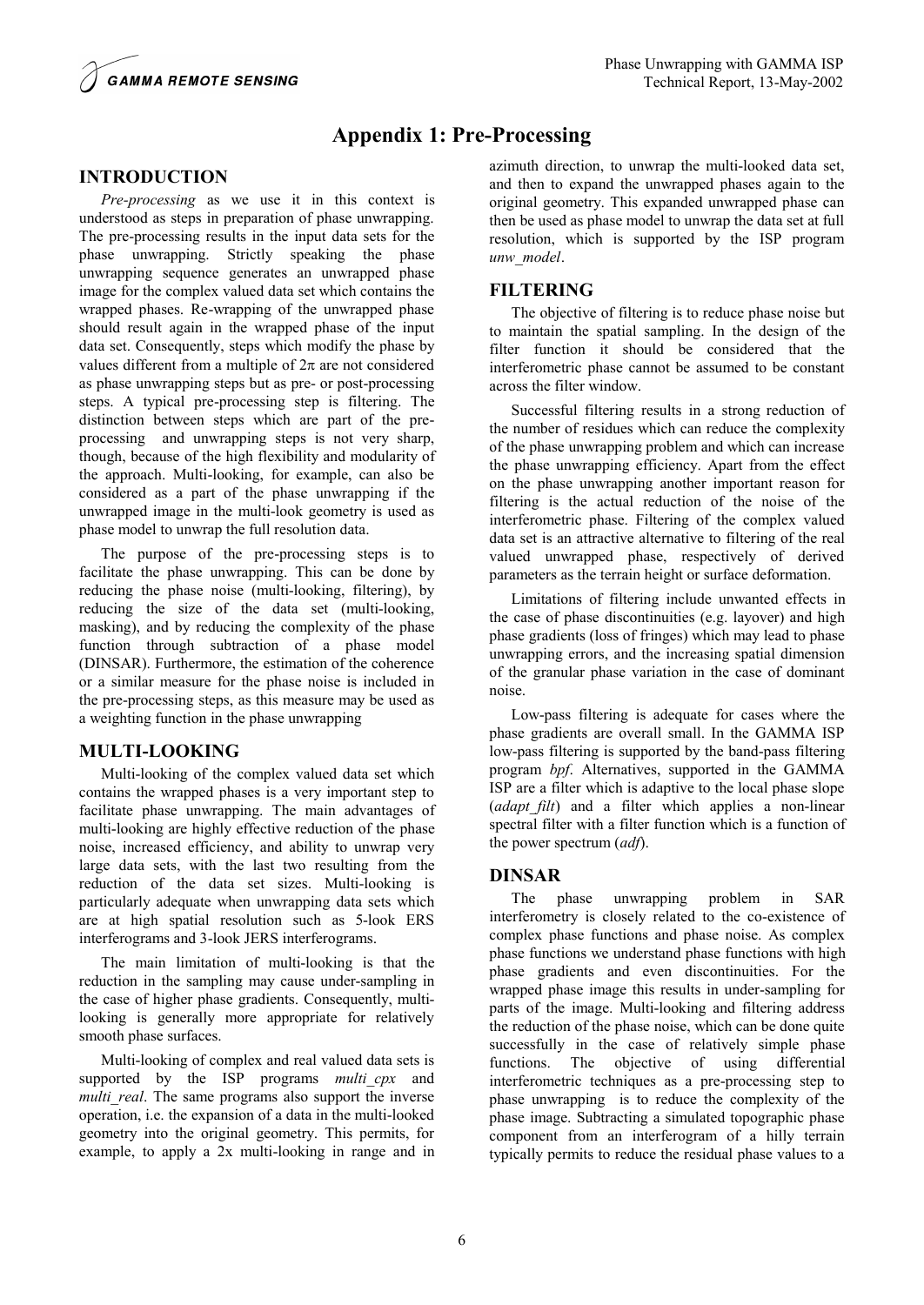

# **Appendix 1: Pre-Processing**

## **INTRODUCTION**

*Pre-processing* as we use it in this context is understood as steps in preparation of phase unwrapping. The pre-processing results in the input data sets for the phase unwrapping. Strictly speaking the phase unwrapping sequence generates an unwrapped phase image for the complex valued data set which contains the wrapped phases. Re-wrapping of the unwrapped phase should result again in the wrapped phase of the input data set. Consequently, steps which modify the phase by values different from a multiple of  $2\pi$  are not considered as phase unwrapping steps but as pre- or post-processing steps. A typical pre-processing step is filtering. The distinction between steps which are part of the preprocessing and unwrapping steps is not very sharp, though, because of the high flexibility and modularity of the approach. Multi-looking, for example, can also be considered as a part of the phase unwrapping if the unwrapped image in the multi-look geometry is used as phase model to unwrap the full resolution data.

The purpose of the pre-processing steps is to facilitate the phase unwrapping. This can be done by reducing the phase noise (multi-looking, filtering), by reducing the size of the data set (multi-looking, masking), and by reducing the complexity of the phase function through subtraction of a phase model (DINSAR). Furthermore, the estimation of the coherence or a similar measure for the phase noise is included in the pre-processing steps, as this measure may be used as a weighting function in the phase unwrapping

## **MULTI-LOOKING**

Multi-looking of the complex valued data set which contains the wrapped phases is a very important step to facilitate phase unwrapping. The main advantages of multi-looking are highly effective reduction of the phase noise, increased efficiency, and ability to unwrap very large data sets, with the last two resulting from the reduction of the data set sizes. Multi-looking is particularly adequate when unwrapping data sets which are at high spatial resolution such as 5-look ERS interferograms and 3-look JERS interferograms.

The main limitation of multi-looking is that the reduction in the sampling may cause under-sampling in the case of higher phase gradients. Consequently, multilooking is generally more appropriate for relatively smooth phase surfaces.

Multi-looking of complex and real valued data sets is supported by the ISP programs *multi cpx* and *multi real*. The same programs also support the inverse operation, i.e. the expansion of a data in the multi-looked geometry into the original geometry. This permits, for example, to apply a 2x multi-looking in range and in azimuth direction, to unwrap the multi-looked data set, and then to expand the unwrapped phases again to the original geometry. This expanded unwrapped phase can then be used as phase model to unwrap the data set at full resolution, which is supported by the ISP program *unw\_model*.

### **FILTERING**

The objective of filtering is to reduce phase noise but to maintain the spatial sampling. In the design of the filter function it should be considered that the interferometric phase cannot be assumed to be constant across the filter window.

Successful filtering results in a strong reduction of the number of residues which can reduce the complexity of the phase unwrapping problem and which can increase the phase unwrapping efficiency. Apart from the effect on the phase unwrapping another important reason for filtering is the actual reduction of the noise of the interferometric phase. Filtering of the complex valued data set is an attractive alternative to filtering of the real valued unwrapped phase, respectively of derived parameters as the terrain height or surface deformation.

Limitations of filtering include unwanted effects in the case of phase discontinuities (e.g. layover) and high phase gradients (loss of fringes) which may lead to phase unwrapping errors, and the increasing spatial dimension of the granular phase variation in the case of dominant noise.

Low-pass filtering is adequate for cases where the phase gradients are overall small. In the GAMMA ISP low-pass filtering is supported by the band-pass filtering program *bpf*. Alternatives, supported in the GAMMA ISP are a filter which is adaptive to the local phase slope (*adapt\_filt*) and a filter which applies a non-linear spectral filter with a filter function which is a function of the power spectrum (*adf*).

## **DINSAR**

The phase unwrapping problem in SAR interferometry is closely related to the co-existence of complex phase functions and phase noise. As complex phase functions we understand phase functions with high phase gradients and even discontinuities. For the wrapped phase image this results in under-sampling for parts of the image. Multi-looking and filtering address the reduction of the phase noise, which can be done quite successfully in the case of relatively simple phase functions. The objective of using differential interferometric techniques as a pre-processing step to phase unwrapping is to reduce the complexity of the phase image. Subtracting a simulated topographic phase component from an interferogram of a hilly terrain typically permits to reduce the residual phase values to a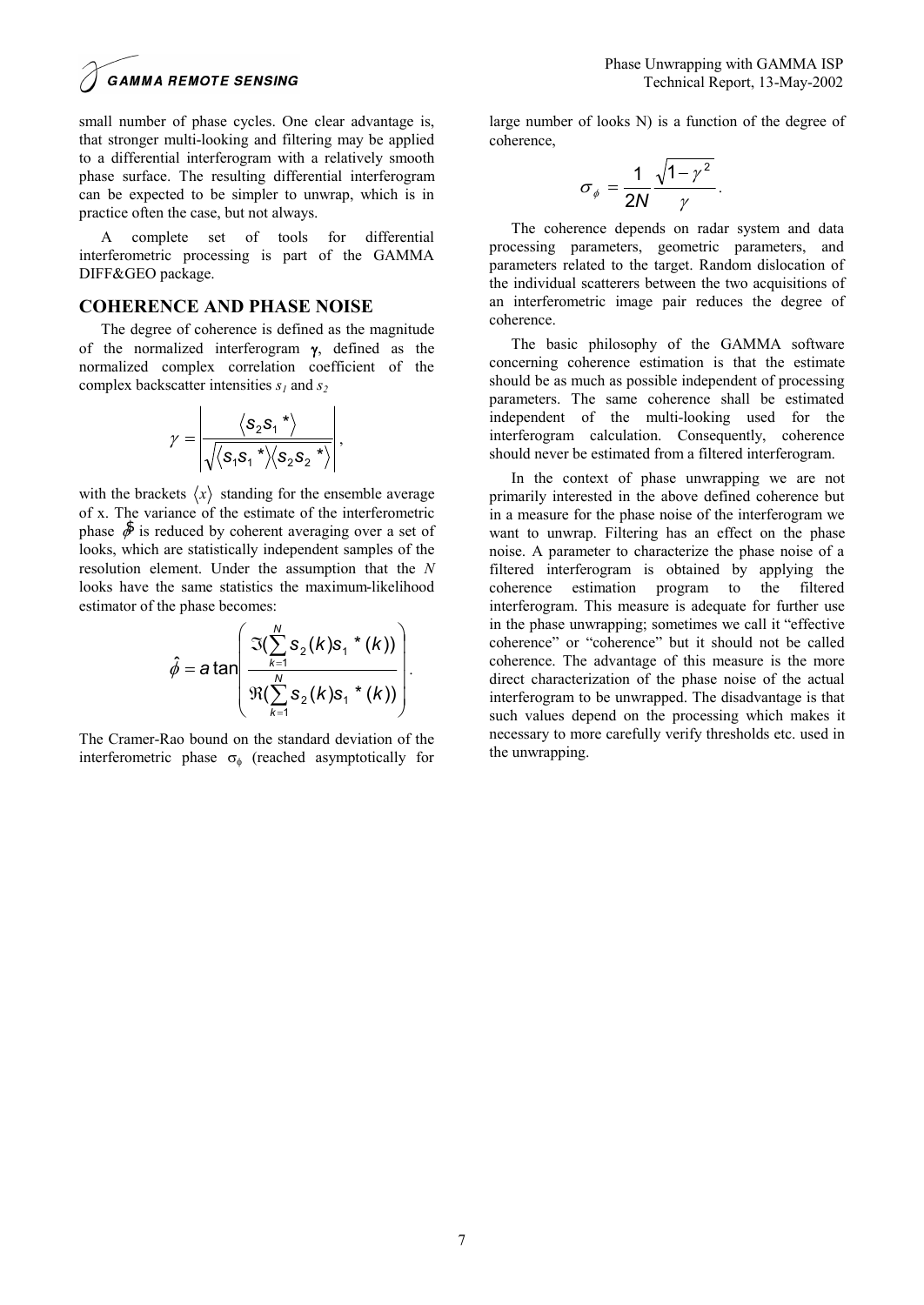small number of phase cycles. One clear advantage is, that stronger multi-looking and filtering may be applied to a differential interferogram with a relatively smooth phase surface. The resulting differential interferogram can be expected to be simpler to unwrap, which is in practice often the case, but not always.

A complete set of tools for differential interferometric processing is part of the GAMMA DIFF&GEO package.

#### **COHERENCE AND PHASE NOISE**

The degree of coherence is defined as the magnitude of the normalized interferogram **g**, defined as the normalized complex correlation coefficient of the complex backscatter intensities *s1* and *s<sup>2</sup>*

$$
\gamma = \left| \frac{\left\langle s_2 s_1 \right|^* \right\rangle}{\sqrt{\left\langle s_1 s_1 \right|^* \left\langle s_2 s_2 \right|^* \right\rangle}} \right|,
$$

with the brackets  $\langle x \rangle$  standing for the ensemble average of x. The variance of the estimate of the interferometric phase  $\delta$  is reduced by coherent averaging over a set of looks, which are statistically independent samples of the resolution element. Under the assumption that the *N* looks have the same statistics the maximum-likelihood estimator of the phase becomes:

$$
\hat{\phi} = a \tan \left( \frac{\Im(\sum_{k=1}^{N} s_{2}(k) s_{1} * (k))}{\Re(\sum_{k=1}^{N} s_{2}(k) s_{1} * (k))} \right).
$$

The Cramer-Rao bound on the standard deviation of the interferometric phase  $\sigma_{\phi}$  (reached asymptotically for

large number of looks N) is a function of the degree of coherence,

$$
\sigma_{\phi} = \frac{1}{2N} \frac{\sqrt{1-\gamma^2}}{\gamma}.
$$

The coherence depends on radar system and data processing parameters, geometric parameters, and parameters related to the target. Random dislocation of the individual scatterers between the two acquisitions of an interferometric image pair reduces the degree of coherence.

The basic philosophy of the GAMMA software concerning coherence estimation is that the estimate should be as much as possible independent of processing parameters. The same coherence shall be estimated independent of the multi-looking used for the interferogram calculation. Consequently, coherence should never be estimated from a filtered interferogram.

In the context of phase unwrapping we are not primarily interested in the above defined coherence but in a measure for the phase noise of the interferogram we want to unwrap. Filtering has an effect on the phase noise. A parameter to characterize the phase noise of a filtered interferogram is obtained by applying the coherence estimation program to the filtered interferogram. This measure is adequate for further use in the phase unwrapping; sometimes we call it "effective coherence" or "coherence" but it should not be called coherence. The advantage of this measure is the more direct characterization of the phase noise of the actual interferogram to be unwrapped. The disadvantage is that such values depend on the processing which makes it necessary to more carefully verify thresholds etc. used in the unwrapping.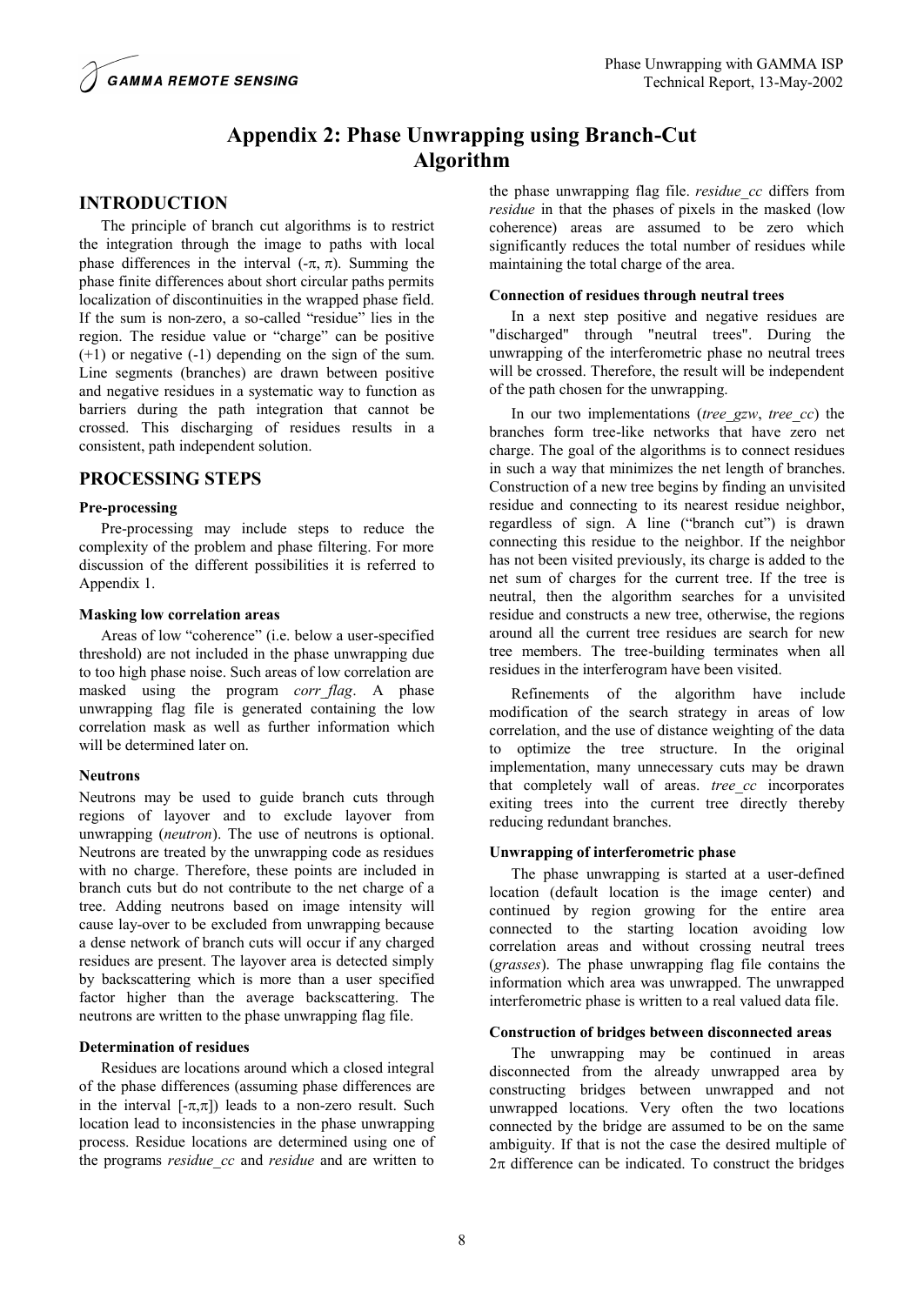# **Appendix 2: Phase Unwrapping using Branch-Cut Algorithm**

## **INTRODUCTION**

The principle of branch cut algorithms is to restrict the integration through the image to paths with local phase differences in the interval  $(-\pi, \pi)$ . Summing the phase finite differences about short circular paths permits localization of discontinuities in the wrapped phase field. If the sum is non-zero, a so-called "residue" lies in the region. The residue value or "charge" can be positive (+1) or negative (-1) depending on the sign of the sum. Line segments (branches) are drawn between positive and negative residues in a systematic way to function as barriers during the path integration that cannot be crossed. This discharging of residues results in a consistent, path independent solution.

## **PROCESSING STEPS**

### **Pre-processing**

Pre-processing may include steps to reduce the complexity of the problem and phase filtering. For more discussion of the different possibilities it is referred to Appendix 1.

### **Masking low correlation areas**

Areas of low "coherence" (i.e. below a user-specified threshold) are not included in the phase unwrapping due to too high phase noise. Such areas of low correlation are masked using the program *corr\_flag*. A phase unwrapping flag file is generated containing the low correlation mask as well as further information which will be determined later on.

### **Neutrons**

Neutrons may be used to guide branch cuts through regions of layover and to exclude layover from unwrapping (*neutron*). The use of neutrons is optional. Neutrons are treated by the unwrapping code as residues with no charge. Therefore, these points are included in branch cuts but do not contribute to the net charge of a tree. Adding neutrons based on image intensity will cause lay-over to be excluded from unwrapping because a dense network of branch cuts will occur if any charged residues are present. The layover area is detected simply by backscattering which is more than a user specified factor higher than the average backscattering. The neutrons are written to the phase unwrapping flag file.

### **Determination of residues**

Residues are locations around which a closed integral of the phase differences (assuming phase differences are in the interval  $[-\pi,\pi]$ ) leads to a non-zero result. Such location lead to inconsistencies in the phase unwrapping process. Residue locations are determined using one of the programs *residue\_cc* and *residue* and are written to the phase unwrapping flag file. *residue\_cc* differs from *residue* in that the phases of pixels in the masked (low coherence) areas are assumed to be zero which significantly reduces the total number of residues while maintaining the total charge of the area.

### **Connection of residues through neutral trees**

In a next step positive and negative residues are "discharged" through "neutral trees". During the unwrapping of the interferometric phase no neutral trees will be crossed. Therefore, the result will be independent of the path chosen for the unwrapping.

In our two implementations (*tree\_gzw*, *tree\_cc*) the branches form tree-like networks that have zero net charge. The goal of the algorithms is to connect residues in such a way that minimizes the net length of branches. Construction of a new tree begins by finding an unvisited residue and connecting to its nearest residue neighbor, regardless of sign. A line ("branch cut") is drawn connecting this residue to the neighbor. If the neighbor has not been visited previously, its charge is added to the net sum of charges for the current tree. If the tree is neutral, then the algorithm searches for a unvisited residue and constructs a new tree, otherwise, the regions around all the current tree residues are search for new tree members. The tree-building terminates when all residues in the interferogram have been visited.

Refinements of the algorithm have include modification of the search strategy in areas of low correlation, and the use of distance weighting of the data to optimize the tree structure. In the original implementation, many unnecessary cuts may be drawn that completely wall of areas. *tree cc* incorporates exiting trees into the current tree directly thereby reducing redundant branches.

## **Unwrapping of interferometric phase**

The phase unwrapping is started at a user-defined location (default location is the image center) and continued by region growing for the entire area connected to the starting location avoiding low correlation areas and without crossing neutral trees (*grasses*). The phase unwrapping flag file contains the information which area was unwrapped. The unwrapped interferometric phase is written to a real valued data file.

### **Construction of bridges between disconnected areas**

The unwrapping may be continued in areas disconnected from the already unwrapped area by constructing bridges between unwrapped and not unwrapped locations. Very often the two locations connected by the bridge are assumed to be on the same ambiguity. If that is not the case the desired multiple of  $2\pi$  difference can be indicated. To construct the bridges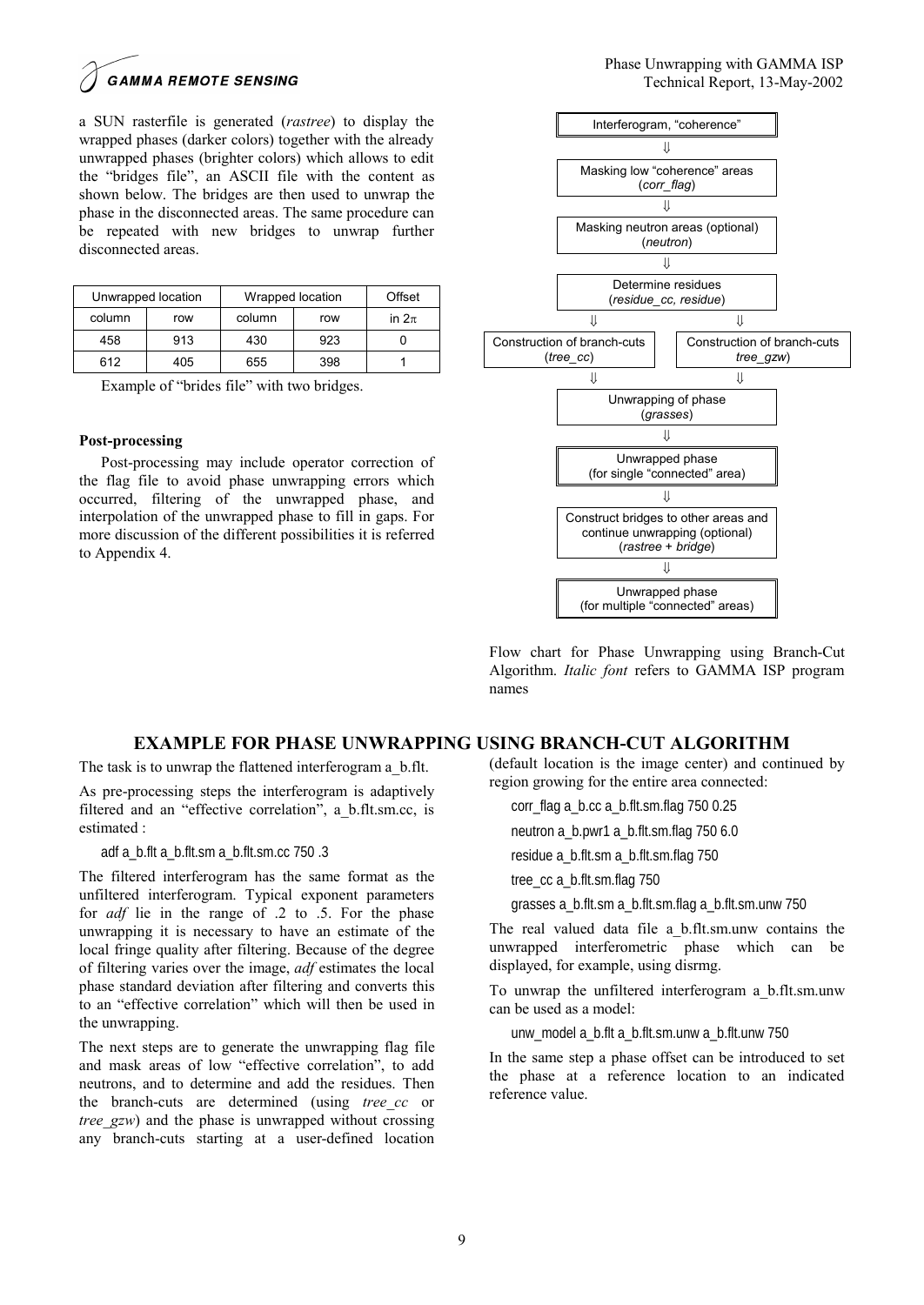**GAMMA REMOTE SENSING** 

a SUN rasterfile is generated (*rastree*) to display the wrapped phases (darker colors) together with the already unwrapped phases (brighter colors) which allows to edit the "bridges file", an ASCII file with the content as shown below. The bridges are then used to unwrap the phase in the disconnected areas. The same procedure can be repeated with new bridges to unwrap further disconnected areas.

| Unwrapped location |     | Wrapped location |     | Offset    |
|--------------------|-----|------------------|-----|-----------|
| column             | row | column           | row | in $2\pi$ |
| 458                | 913 | 430              | 923 |           |
| 612                | 405 | 655              | 398 |           |

Example of "brides file" with two bridges.

#### **Post-processing**

Post-processing may include operator correction of the flag file to avoid phase unwrapping errors which occurred, filtering of the unwrapped phase, and interpolation of the unwrapped phase to fill in gaps. For more discussion of the different possibilities it is referred to Appendix 4.



Flow chart for Phase Unwrapping using Branch-Cut Algorithm. *Italic font* refers to GAMMA ISP program names

### **EXAMPLE FOR PHASE UNWRAPPING USING BRANCH-CUT ALGORITHM**

The task is to unwrap the flattened interferogram a\_b.flt.

As pre-processing steps the interferogram is adaptively filtered and an "effective correlation", a\_b.flt.sm.cc, is estimated :

adf a\_b.flt a\_b.flt.sm a\_b.flt.sm.cc 750 .3

The filtered interferogram has the same format as the unfiltered interferogram. Typical exponent parameters for *adf* lie in the range of .2 to .5. For the phase unwrapping it is necessary to have an estimate of the local fringe quality after filtering. Because of the degree of filtering varies over the image, *adf* estimates the local phase standard deviation after filtering and converts this to an "effective correlation" which will then be used in the unwrapping.

The next steps are to generate the unwrapping flag file and mask areas of low "effective correlation", to add neutrons, and to determine and add the residues. Then the branch-cuts are determined (using *tree cc* or *tree\_gzw*) and the phase is unwrapped without crossing any branch-cuts starting at a user-defined location (default location is the image center) and continued by region growing for the entire area connected:

corr\_flag a\_b.cc a\_b.flt.sm.flag 750 0.25

neutron a\_b.pwr1 a\_b.flt.sm.flag 750 6.0

residue a\_b.flt.sm a\_b.flt.sm.flag 750

tree\_cc a\_b.flt.sm.flag 750

grasses a\_b.flt.sm a\_b.flt.sm.flag a\_b.flt.sm.unw 750

The real valued data file a\_b.flt.sm.unw contains the unwrapped interferometric phase which can be displayed, for example, using disrmg.

To unwrap the unfiltered interferogram a\_b.flt.sm.unw can be used as a model:

unw\_model a\_b.flt a\_b.flt.sm.unw a\_b.flt.unw 750

In the same step a phase offset can be introduced to set the phase at a reference location to an indicated reference value.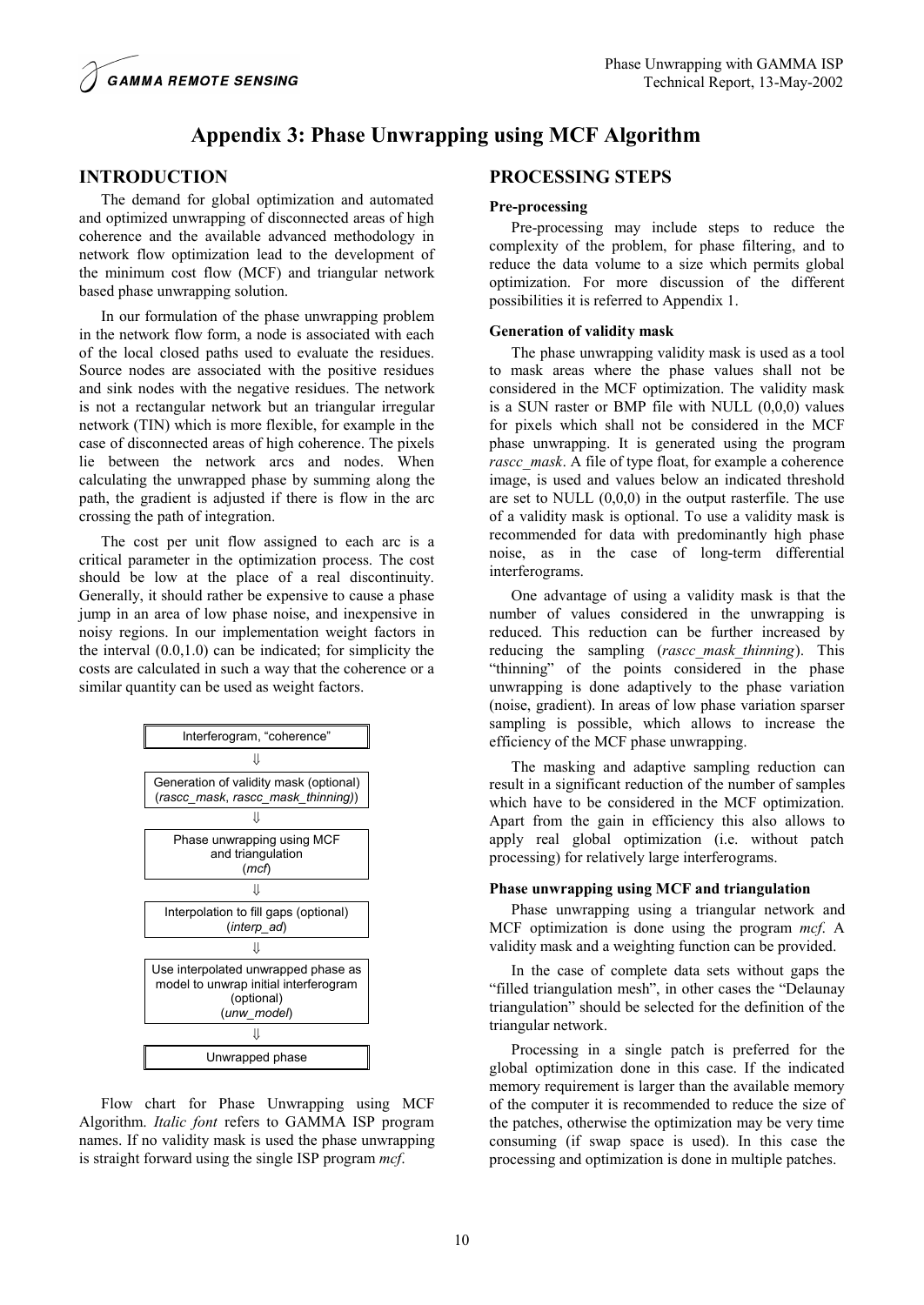## **INTRODUCTION**

**GAMMA REMOTE SENSING** 

The demand for global optimization and automated and optimized unwrapping of disconnected areas of high coherence and the available advanced methodology in network flow optimization lead to the development of the minimum cost flow (MCF) and triangular network based phase unwrapping solution.

In our formulation of the phase unwrapping problem in the network flow form, a node is associated with each of the local closed paths used to evaluate the residues. Source nodes are associated with the positive residues and sink nodes with the negative residues. The network is not a rectangular network but an triangular irregular network (TIN) which is more flexible, for example in the case of disconnected areas of high coherence. The pixels lie between the network arcs and nodes. When calculating the unwrapped phase by summing along the path, the gradient is adjusted if there is flow in the arc crossing the path of integration.

The cost per unit flow assigned to each arc is a critical parameter in the optimization process. The cost should be low at the place of a real discontinuity. Generally, it should rather be expensive to cause a phase jump in an area of low phase noise, and inexpensive in noisy regions. In our implementation weight factors in the interval  $(0.0, 1.0)$  can be indicated; for simplicity the costs are calculated in such a way that the coherence or a similar quantity can be used as weight factors.



Flow chart for Phase Unwrapping using MCF Algorithm. *Italic font* refers to GAMMA ISP program names. If no validity mask is used the phase unwrapping is straight forward using the single ISP program *mcf*.

## **PROCESSING STEPS**

#### **Pre-processing**

Pre-processing may include steps to reduce the complexity of the problem, for phase filtering, and to reduce the data volume to a size which permits global optimization. For more discussion of the different possibilities it is referred to Appendix 1.

#### **Generation of validity mask**

The phase unwrapping validity mask is used as a tool to mask areas where the phase values shall not be considered in the MCF optimization. The validity mask is a SUN raster or BMP file with NULL (0,0,0) values for pixels which shall not be considered in the MCF phase unwrapping. It is generated using the program *rascc\_mask*. A file of type float, for example a coherence image, is used and values below an indicated threshold are set to NULL (0,0,0) in the output rasterfile. The use of a validity mask is optional. To use a validity mask is recommended for data with predominantly high phase noise, as in the case of long-term differential interferograms.

One advantage of using a validity mask is that the number of values considered in the unwrapping is reduced. This reduction can be further increased by reducing the sampling (*rascc\_mask\_thinning*). This "thinning" of the points considered in the phase unwrapping is done adaptively to the phase variation (noise, gradient). In areas of low phase variation sparser sampling is possible, which allows to increase the efficiency of the MCF phase unwrapping.

The masking and adaptive sampling reduction can result in a significant reduction of the number of samples which have to be considered in the MCF optimization. Apart from the gain in efficiency this also allows to apply real global optimization (i.e. without patch processing) for relatively large interferograms.

#### **Phase unwrapping using MCF and triangulation**

Phase unwrapping using a triangular network and MCF optimization is done using the program *mcf*. A validity mask and a weighting function can be provided.

In the case of complete data sets without gaps the "filled triangulation mesh", in other cases the "Delaunay triangulation" should be selected for the definition of the triangular network.

Processing in a single patch is preferred for the global optimization done in this case. If the indicated memory requirement is larger than the available memory of the computer it is recommended to reduce the size of the patches, otherwise the optimization may be very time consuming (if swap space is used). In this case the processing and optimization is done in multiple patches.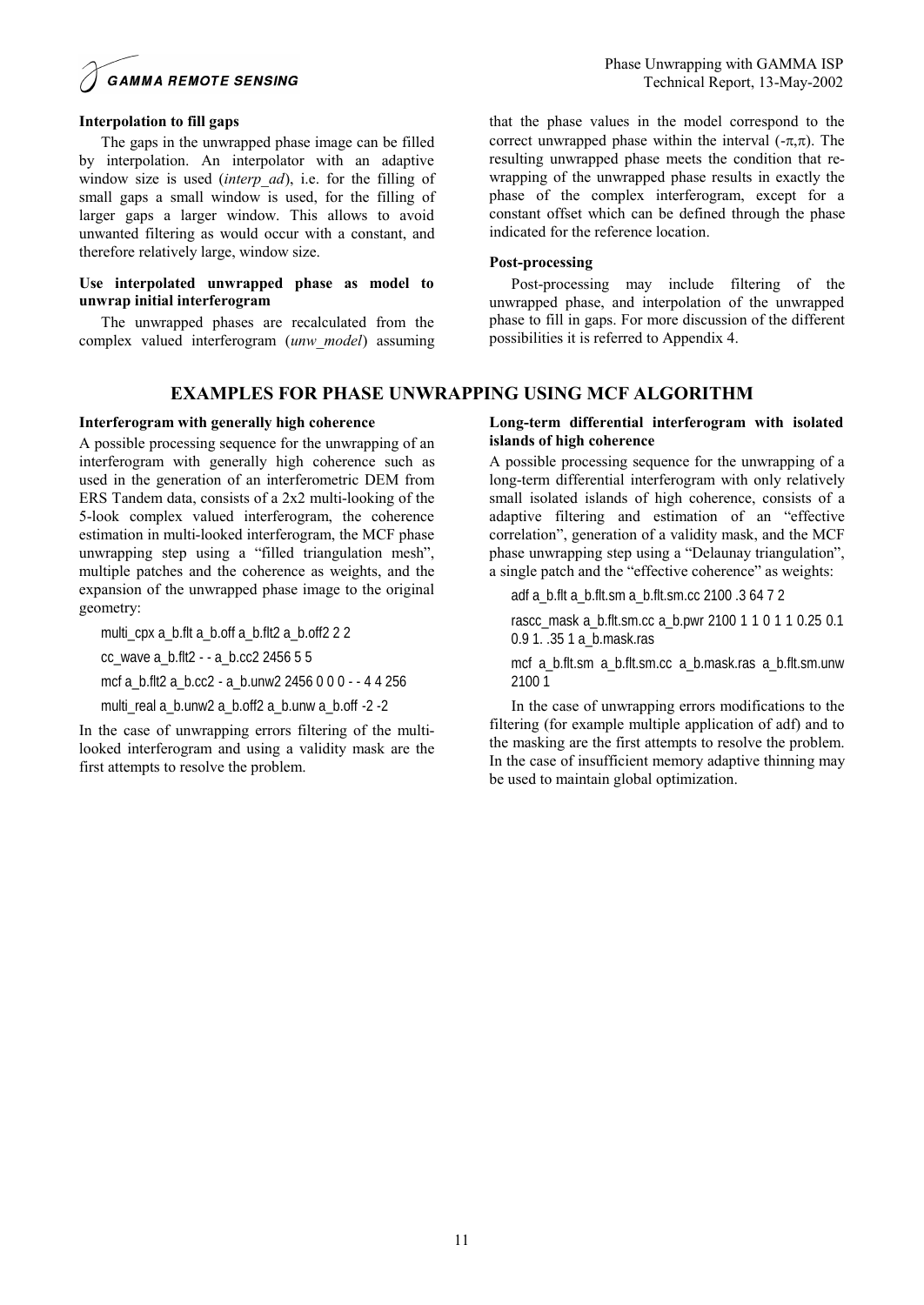

#### **Interpolation to fill gaps**

The gaps in the unwrapped phase image can be filled by interpolation. An interpolator with an adaptive window size is used (*interp\_ad*), i.e. for the filling of small gaps a small window is used, for the filling of larger gaps a larger window. This allows to avoid unwanted filtering as would occur with a constant, and therefore relatively large, window size.

#### **Use interpolated unwrapped phase as model to unwrap initial interferogram**

The unwrapped phases are recalculated from the complex valued interferogram (*unw\_model*) assuming

## **EXAMPLES FOR PHASE UNWRAPPING USING MCF ALGORITHM**

#### **Interferogram with generally high coherence**

A possible processing sequence for the unwrapping of an interferogram with generally high coherence such as used in the generation of an interferometric DEM from ERS Tandem data, consists of a 2x2 multi-looking of the 5-look complex valued interferogram, the coherence estimation in multi-looked interferogram, the MCF phase unwrapping step using a "filled triangulation mesh", multiple patches and the coherence as weights, and the expansion of the unwrapped phase image to the original geometry:

multi cpx a\_b.flt a\_b.off a\_b.flt2 a\_b.off2 2 2

cc\_wave a\_b.flt2 - - a\_b.cc2 2456 5 5

mcf a\_b.flt2 a\_b.cc2 - a\_b.unw2 2456 0 0 0 - - 4 4 256

multi\_real a\_b.unw2 a\_b.off2 a\_b.unw a\_b.off -2 -2

In the case of unwrapping errors filtering of the multilooked interferogram and using a validity mask are the first attempts to resolve the problem.

that the phase values in the model correspond to the correct unwrapped phase within the interval  $(-\pi,\pi)$ . The resulting unwrapped phase meets the condition that rewrapping of the unwrapped phase results in exactly the phase of the complex interferogram, except for a constant offset which can be defined through the phase indicated for the reference location.

#### **Post-processing**

Post-processing may include filtering of the unwrapped phase, and interpolation of the unwrapped phase to fill in gaps. For more discussion of the different possibilities it is referred to Appendix 4.

### **Long-term differential interferogram with isolated islands of high coherence**

A possible processing sequence for the unwrapping of a long-term differential interferogram with only relatively small isolated islands of high coherence, consists of a adaptive filtering and estimation of an "effective correlation", generation of a validity mask, and the MCF phase unwrapping step using a "Delaunay triangulation", a single patch and the "effective coherence" as weights:

adf a\_b.flt a\_b.flt.sm a\_b.flt.sm.cc 2100 .3 64 7 2

rascc\_mask a\_b.flt.sm.cc a\_b.pwr 2100 1 1 0 1 1 0.25 0.1 0.9 1. .35 1 a\_b.mask.ras

mcf a\_b.flt.sm a\_b.flt.sm.cc a\_b.mask.ras a\_b.flt.sm.unw 2100 1

In the case of unwrapping errors modifications to the filtering (for example multiple application of adf) and to the masking are the first attempts to resolve the problem. In the case of insufficient memory adaptive thinning may be used to maintain global optimization.